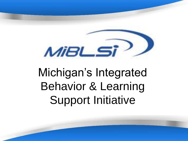

# Michigan's Integrated Behavior & Learning Support Initiative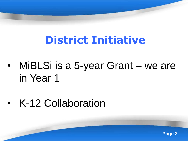# **District Initiative**

- MiBLSi is a 5-year Grant we are in Year 1
- K-12 Collaboration

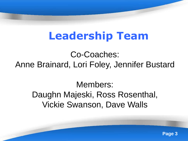# **Leadership Team**

Co-Coaches: Anne Brainard, Lori Foley, Jennifer Bustard

Members: Daughn Majeski, Ross Rosenthal, Vickie Swanson, Dave Walls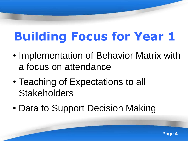# **Building Focus for Year 1**

- Implementation of Behavior Matrix with a focus on attendance
- Teaching of Expectations to all **Stakeholders**
- Data to Support Decision Making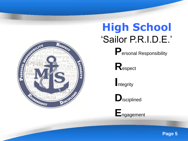

# **High School** "Sailor P.R.I.D.E."

**P**ersonal Responsibility

**R**espect

**I**ntegrity



**E**ngagement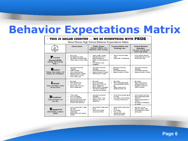### **Behavior Expectations Matrix**

| $\sim$ THIS IS SAILOR COUNTRY  WE DO EVERYTHING WITH PRIDE $\sim$<br>Mona Shores High School Behavior Expectations Matrix |                                                                                                                                                                                   |                                                                                                                                                                                 |                                                                                                                                |                                                                                                                                                    |  |
|---------------------------------------------------------------------------------------------------------------------------|-----------------------------------------------------------------------------------------------------------------------------------------------------------------------------------|---------------------------------------------------------------------------------------------------------------------------------------------------------------------------------|--------------------------------------------------------------------------------------------------------------------------------|----------------------------------------------------------------------------------------------------------------------------------------------------|--|
| $\bigcup_{i=1}^q$ .                                                                                                       | Classrooms                                                                                                                                                                        | <b>Public Areas</b><br>(Hallways, Cafeteria, LMC,<br>Restrooms. School Grounds!                                                                                                 | <b>Transportation and</b><br><b>Parking Lots</b>                                                                               | <b>School Related</b><br><b>Activities</b><br>(Any event Involving Mona<br>Shores High School!                                                     |  |
| P <sub>ersonal</sub><br><b>Responsibility</b><br>Knowing what to do and<br>dolna it                                       | Be on time.<br>Be prepared for class<br>Use class time appropriately<br>Attend class on a daily basis                                                                             | Clean up after yourself<br>Keep food and drink in<br>assigned areas only<br>Report concerns/issues to<br>٠<br><b>stuff</b><br>٠<br>Walt patiently when<br>necessary             | Obey all laws and safety<br>nules<br>Place trash in receptacles                                                                | Follow MSHS rules and<br>quidelines for all on or off<br>campus activities.                                                                        |  |
| Respect<br>Treating others properly with<br>empathy and consideration                                                     | ٠<br>Use positive tone and<br>language<br>Listen to others<br>Follow staff directions<br>٠<br>Respect property of others<br>٠<br>Keep hands to yourself<br>۰<br>Follow dress code | ٠<br>Use positive tone and<br>language<br>٠<br>Follow staff directions<br>٠<br>Respect property of others.<br>٠<br>Keep hands to yourself                                       | . Use positive tone and<br>language<br>. Follow stan directions<br>Respect property of others                                  | Use positive tone and<br>language<br>Follow staff directions<br>Respect property of others.                                                        |  |
| <b>Integrity</b><br>Acting with honesty toward<br>self and school                                                         | <b>Be honest</b><br>Take responsibility<br>Do your own work<br>Report acts of bullying<br>and/or hamssment                                                                        | ۰<br><b>Be honest</b><br>Pay for purchases<br>Report acts of bullying<br>and/or harassment<br>Report aramti or damages<br>Use hallway passes for<br>٠<br>what they are intended | <b>Be honest</b><br>Park in designated areas<br>Have appropriate parking<br>tau<br>Report suspicious or<br>dangerous behaviors | <b>Be honest</b><br>Report suspicious or<br>dangerous behaviors<br>Represent M8H8 In a<br>positive manner                                          |  |
| <b>D</b> isciplined<br>Using self-control to be<br>vour best                                                              | ٠<br>Time on task<br>Honor due dates<br>٠<br>Give your best enot<br>٠<br>Develop good study habits<br>Respond appropriately to<br>criticism and instruction                       | ٠<br>Use positive tone and<br>language<br>Use an "indoor voice"<br>٠<br>Respond calmly and<br>respectfully                                                                      | Follow school quidelines at<br>all financi<br>Use caution when entering<br>or exiting the parking lot                          | Follow rules of the event<br>Demonstrate appropriate<br>Behavior<br>Respond appropriately to<br>cattle la mi<br>Serve as an ambassador<br>for MSHS |  |
| Engagement<br>Demonstrating a positive<br><b>Interest</b>                                                                 | Actively participate in class<br>activities<br><b>Help and support</b><br>class mades.<br>Be physically and mentally<br>present                                                   | Make MSHS a better place<br>for all<br>٠<br>Make everyone feel<br>welcome at MSH8                                                                                               | Make MSH8 a better place<br>for all<br>Drive safety<br>Plck up litter<br>Make everyone feel<br>welcome at M8H8                 | Become Involved<br>Use your 'Sallor' oride<br>Enthus lastically support<br>participants.                                                           |  |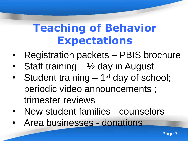# **Teaching of Behavior Expectations**

- Registration packets PBIS brochure
- Staff training ½ day in August
- Student training 1<sup>st</sup> day of school; periodic video announcements ; trimester reviews
- New student families counselors
- Area businesses donations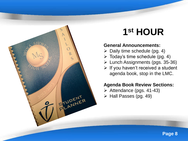

## **1 st HOUR**

#### **General Announcements:**

- $\triangleright$  Daily time schedule (pg. 4)
- $\triangleright$  Today's time schedule (pg. 4)
- Lunch Assignments (pgs. 35-36)
- $\triangleright$  If you haven't received a student agenda book, stop in the LMC.

#### **Agenda Book Review Sections:**

- $\triangleright$  Attendance (pgs. 41-43)
- $\triangleright$  Hall Passes (pg. 49)

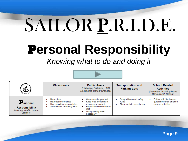# SAILOR P.R.I.D.E.

# P**ersonal Responsibility**

#### *Knowing what to do and doing it*



| े<br>पौर                                                                            | <b>Classrooms</b>                                                                                    | <b>Public Areas</b><br>(Hallways, Cafeteria, LMC,<br>Restrooms, School Grounds)                                                                    | <b>Transportation and</b><br><b>Parking Lots</b>               | <b>School Related</b><br><b>Activities</b><br>(Any event involving Mona<br><b>Shores High School)</b> |
|-------------------------------------------------------------------------------------|------------------------------------------------------------------------------------------------------|----------------------------------------------------------------------------------------------------------------------------------------------------|----------------------------------------------------------------|-------------------------------------------------------------------------------------------------------|
| P <sub>ersonal</sub><br><b>Responsibility</b><br>Knowing what to do and<br>doina it | Be on time<br>Be prepared for class<br>Use class time appropriately<br>Attend class on a daily basis | Clean up after yourself<br>Keep food and drink in<br>assigned areas only<br>Report concerns/issues to<br>staff<br>Wait patiently when<br>necessary | Obey all laws and safety<br>rules<br>Place trash in receptades | Follow MSHS rules and<br>quidelines for all on or off<br>campus activities                            |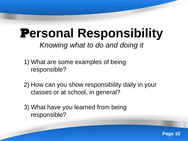### P**ersonal Responsibility** *Knowing what to do and doing it*

- 1) What are some examples of being responsible?
- 2) How can you show responsibility daily in your classes or at school, in general?
- 3) What have you learned from being responsible?

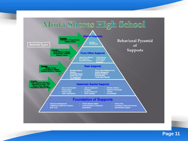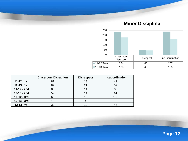**Minor Discipline**



|                 | <b>Classroom Disruption</b> | <b>Disrespect</b> | Insubordination |  |
|-----------------|-----------------------------|-------------------|-----------------|--|
| $11 - 12 - 1st$ | 81                          | 13                | 49              |  |
| $12 - 13 - 1st$ | 89                          | 21                | 59              |  |
| 11-12 - 2nd     | 85                          | 14                | 80              |  |
| 12-13 - 2nd     | 59                          |                   | 61              |  |
| 11-12 - 3rd     | 68                          | 19                | 108             |  |
| 12-13 - 3rd     | 12                          |                   | 18              |  |
| 12-13 Proj      | 30                          |                   | 45              |  |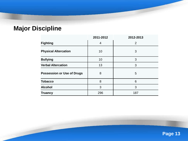#### **Major Discipline**

|                                   | 2011-2012 | 2012-2013      |
|-----------------------------------|-----------|----------------|
| <b>Fighting</b>                   | 4         | $\overline{2}$ |
| <b>Physical Altercation</b>       | 10        | 3              |
| <b>Bullying</b>                   | 10        | 3              |
| <b>Verbal Altercation</b>         | 13        | 3              |
| <b>Possession or Use of Drugs</b> | 8         | 5              |
| <b>Tobacco</b>                    | 8         | 6              |
| <b>Alcohol</b>                    | 3         | 3              |
| <b>Truancy</b>                    | 296       | 187            |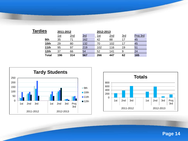| <b>Tardies</b> | 2011-2012 |            |     | 2012-2013   |     |     |          |
|----------------|-----------|------------|-----|-------------|-----|-----|----------|
|                | 1st       | <u>2nd</u> | 3rd | <u> 1st</u> | 2nd | 3rd | Proj 3rd |
| 9th            | 35        | 71         | 162 | 42          | 88  | 17  | 45       |
| 10th           | 29        | 80         | 132 | 70          | 102 | 17  | 45       |
| 11th           | 95        | 97         | 219 | 102         | 116 | 19  | 51       |
| 12th           | 37        | 66         | 54  | 52          | 141 | 9   | 24       |
| <b>Total</b>   | 196       | 314        | 567 | 266         | 447 | 62  | 165      |



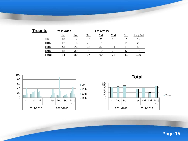| Truants | 2011-2012   |     |     | 2012-2013 |     |     |          |
|---------|-------------|-----|-----|-----------|-----|-----|----------|
|         | <u> 1st</u> | 2nd | 3rd | 1st       | 2nd | 3rd | Proj 3rd |
| 9th     | 10          | 17  | 37  |           | 10  |     | 19       |
| 10th    | 12          | 16  | 26  | 11        | 9   |     | 29       |
| 11th    | 43          | 26  | 28  | 37        | 91  | 17  | 45       |
| 12th    | 18          | 30  | 6   | 19        | 28  | 6   | 16       |
| Total   | 84          | 89  | 97  | 69        | 78  | 41  | 109      |



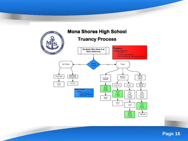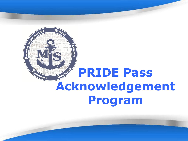

# **PRIDE Pass Acknowledgement Program**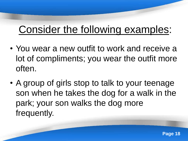# Consider the following examples:

- You wear a new outfit to work and receive a lot of compliments; you wear the outfit more often.
- A group of girls stop to talk to your teenage son when he takes the dog for a walk in the park; your son walks the dog more frequently.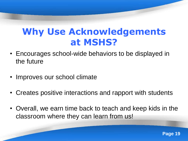### **Why Use Acknowledgements at MSHS?**

- Encourages school-wide behaviors to be displayed in the future
- Improves our school climate
- Creates positive interactions and rapport with students
- Overall, we earn time back to teach and keep kids in the classroom where they can learn from us!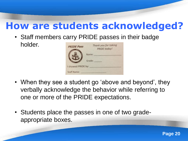### **How are students acknowledged?**

• Staff members carry PRIDE passes in their badge holder.

| <b>PRIDE Pass</b>  | Thank you for taking<br><b>PRIDE</b> today! |
|--------------------|---------------------------------------------|
|                    | Name:                                       |
|                    | Grade:                                      |
| I showed PRIDE by: |                                             |
| <b>Staff Name:</b> |                                             |

- When they see a student go 'above and beyond', they verbally acknowledge the behavior while referring to one or more of the PRIDE expectations.
- Students place the passes in one of two gradeappropriate boxes.

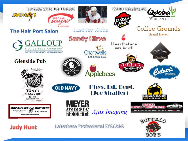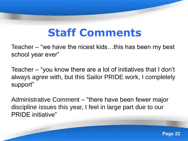# **Staff Comments**

Teacher – "we have the nicest kids…this has been my best school year ever"

Teacher – "you know there are a lot of initiatives that I don"t always agree with, but this Sailor PRIDE work, I completely support"

Administrative Comment – "there have been fewer major discipline issues this year, I feel in large part due to our PRIDE initiative"